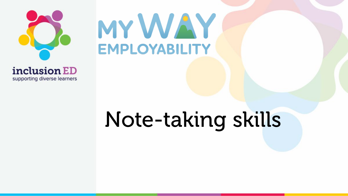

supporting diverse learners

# MYWAY **EMPLOYABILITY**

# Note-taking skills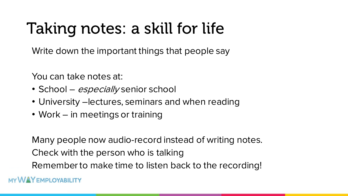### Taking notes: a skill for life

Write down the important things that people say

You can take notes at:

- School *especially* senior school
- University –lectures, seminars and when reading
- Work in meetings or training

Many people now audio-record instead of writing notes. Check with the person who is talking Remember to make time to listen back to the recording!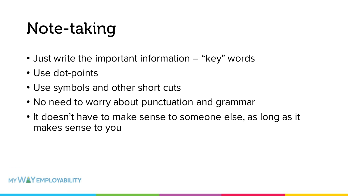# Note-taking

- Just write the important information "key" words
- Use dot-points
- Use symbols and other short cuts
- No need to worry about punctuation and grammar
- It doesn't have to make sense to someone else, as long as it makes sense to you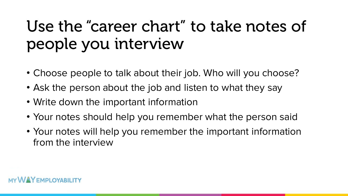## Use the "career chart" to take notes of people you interview

- Choose people to talk about their job. Who will you choose?
- Ask the person about the job and listen to what they say
- Write down the important information
- Your notes should help you remember what the person said
- Your notes will help you remember the important information from the interview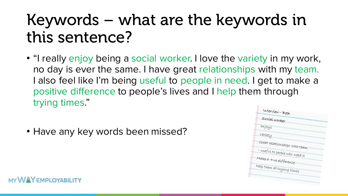### Keywords – what are the keywords in this sentence?

- "I really enjoy being a social worker. I love the variety in my work, no day is ever the same. I have great relationships with my team. I also feel like I'm being useful to people in need. I get to make a positive difference to people's lives and I help them through trying times."
- Have any key words been missed?

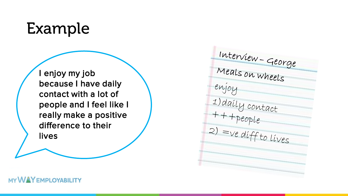#### Example

I enjoy my job because I have daily contact with a lot of people and I feel like I really make a positive difference to their lives

Interview - George enjoy  $1)$ daily contact<br>+ + + people<br>2) = ve diff to lives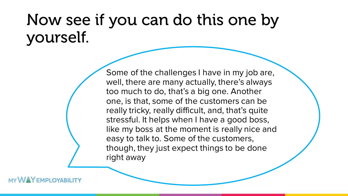#### Now see if you can do this one by yourself.

Some of the challenges I have in my job are, well, there are many actually, there's always too much to do, that's a big one. Another one, is that, some of the customers can be really tricky, really difficult, and, that's quite stressful. It helps when I have a good boss, like my boss at the moment is really nice and easy to talk to. Some of the customers, though, they just expect things to be done right away

**VAY** EMPLOYABILITY